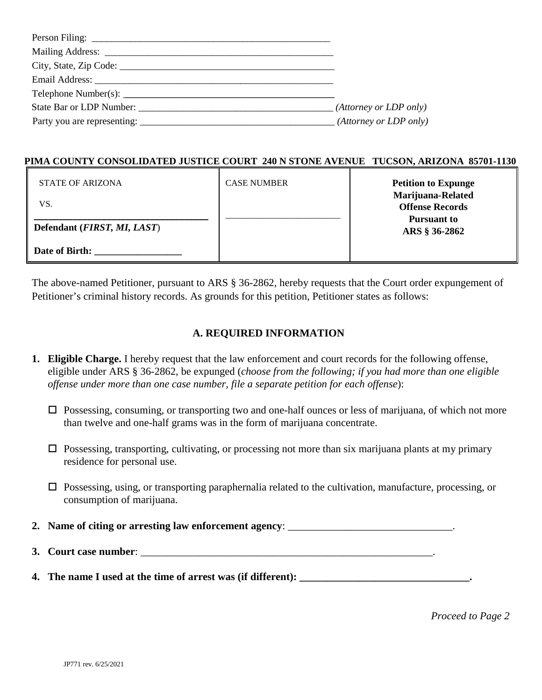| Email Address: No. 1996. The Contract of the Contract of the Contract of the Contract of the Contract of the Contract of the Contract of the Contract of the Contract of the Contract of the Contract of the Contract of the C |                        |
|--------------------------------------------------------------------------------------------------------------------------------------------------------------------------------------------------------------------------------|------------------------|
|                                                                                                                                                                                                                                |                        |
|                                                                                                                                                                                                                                | (Attorney or LDP only) |
|                                                                                                                                                                                                                                | (Attorney or LDP only) |

#### **PIMA COUNTY CONSOLIDATED JUSTICE COURT 240 N STONE AVENUE TUCSON, ARIZONA 85701-1130**

| STATE OF ARIZONA                     | <b>CASE NUMBER</b> | <b>Petition to Expunge</b>                  |
|--------------------------------------|--------------------|---------------------------------------------|
| VS.                                  |                    | Marijuana-Related<br><b>Offense Records</b> |
| Defendant ( <i>FIRST, MI, LAST</i> ) |                    | Pursuant to<br>ARS § 36-2862                |
| Date of Birth:                       |                    |                                             |

The above-named Petitioner, pursuant to ARS § 36-2862, hereby requests that the Court order expungement of Petitioner's criminal history records. As grounds for this petition, Petitioner states as follows:

# **A. REQUIRED INFORMATION**

- **1. Eligible Charge.** I hereby request that the law enforcement and court records for the following offense, eligible under ARS § 36-2862, be expunged (*choose from the following; if you had more than one eligible offense under more than one case number, file a separate petition for each offense*):
	- $\Box$  Possessing, consuming, or transporting two and one-half ounces or less of marijuana, of which not more than twelve and one-half grams was in the form of marijuana concentrate.
	- $\Box$  Possessing, transporting, cultivating, or processing not more than six marijuana plants at my primary residence for personal use.
	- $\Box$  Possessing, using, or transporting paraphernalia related to the cultivation, manufacture, processing, or consumption of marijuana.
- **2.** Name of citing or arresting law enforcement agency:
- **3. Court case number:**  $\blacksquare$
- **4. The name I used at the time of arrest was (if different): \_\_\_\_\_\_\_\_\_\_\_\_\_\_\_\_\_\_\_\_\_\_\_\_\_\_\_\_\_\_\_\_.**

*Proceed to Page 2*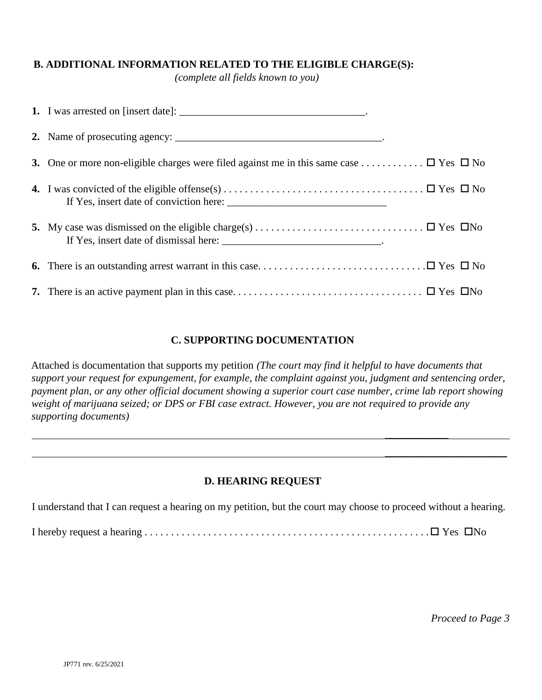## **B. ADDITIONAL INFORMATION RELATED TO THE ELIGIBLE CHARGE(S):**

*(complete all fields known to you)* 

| 3. One or more non-eligible charges were filed against me in this same case $\Box$ Yes $\Box$ No |  |
|--------------------------------------------------------------------------------------------------|--|
|                                                                                                  |  |
|                                                                                                  |  |
|                                                                                                  |  |
|                                                                                                  |  |

## **C. SUPPORTING DOCUMENTATION**

Attached is documentation that supports my petition *(The court may find it helpful to have documents that support your request for expungement, for example, the complaint against you, judgment and sentencing order, payment plan, or any other official document showing a superior court case number, crime lab report showing weight of marijuana seized; or DPS or FBI case extract. However, you are not required to provide any supporting documents)*

 $\overline{\phantom{a}}$  , which is a set of the set of the set of the set of the set of the set of the set of the set of the set of the set of the set of the set of the set of the set of the set of the set of the set of the set of th

 $\overline{\phantom{a}}$  , and the contract of the contract of the contract of the contract of the contract of the contract of the contract of the contract of the contract of the contract of the contract of the contract of the contrac

## **D. HEARING REQUEST**

I understand that I can request a hearing on my petition, but the court may choose to proceed without a hearing.

I hereby request a hearing . . . . . . . . . . . . . . . . . . . . . . . . . . . . . . . . . . . . . . . . . . . . . . . . . . . . . . Yes No

*Proceed to Page 3*